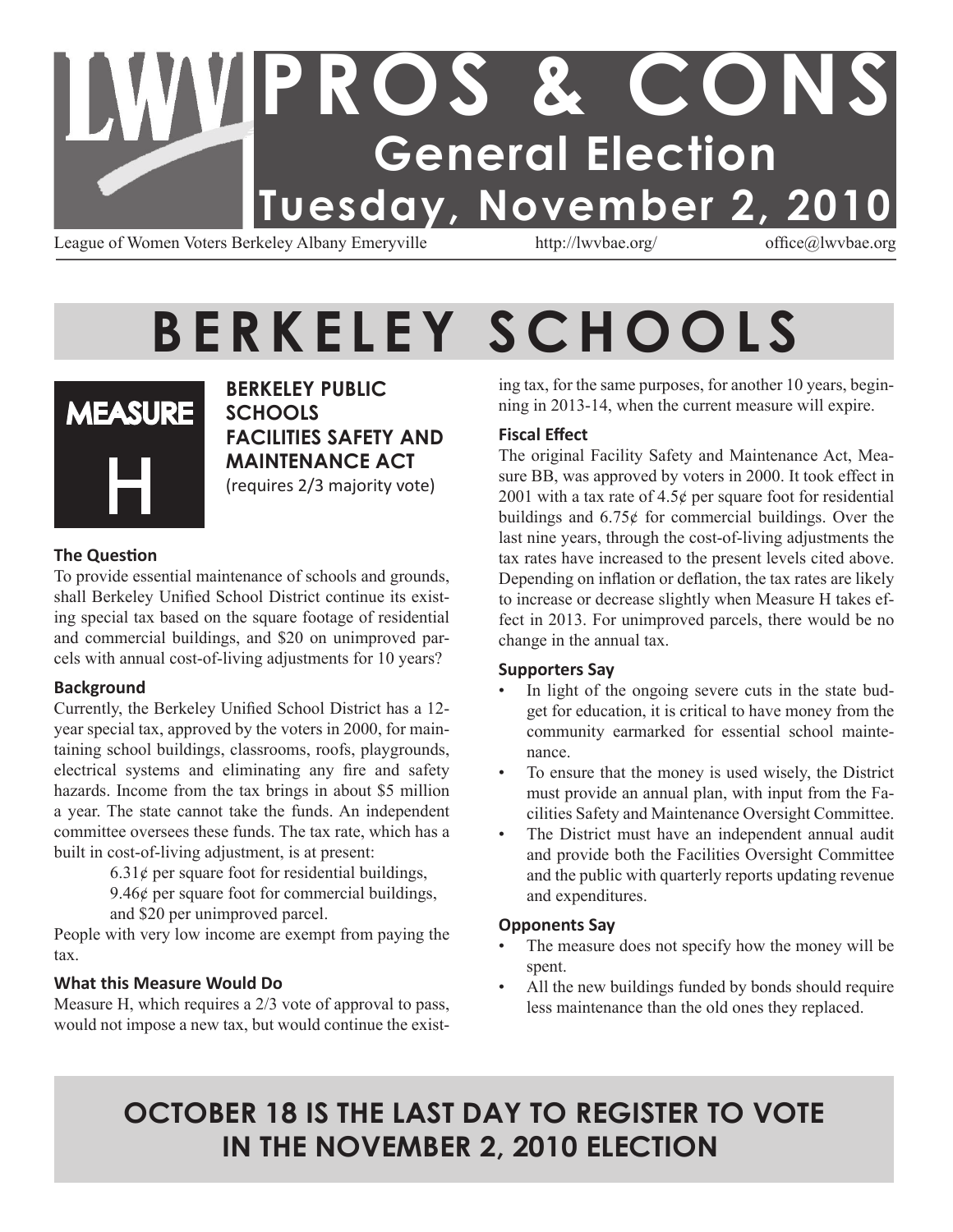### **PROS & CONS General Election Tuesday, November 2, 2010** League of Women Voters Berkeley Albany Emeryville http://lwvbae.org/ office@lwvbae.org

### **B E R K E L E Y S C H O O L S**



**Berkeley Public Schools Facilities Safety and Maintenance Act** (requires 2/3 majority vote)

#### **The Question**

To provide essential maintenance of schools and grounds, shall Berkeley Unified School District continue its existing special tax based on the square footage of residential and commercial buildings, and \$20 on unimproved parcels with annual cost-of-living adjustments for 10 years?

#### **Background**

Currently, the Berkeley Unified School District has a 12 year special tax, approved by the voters in 2000, for maintaining school buildings, classrooms, roofs, playgrounds, electrical systems and eliminating any fire and safety hazards. Income from the tax brings in about \$5 million a year. The state cannot take the funds. An independent committee oversees these funds. The tax rate, which has a built in cost-of-living adjustment, is at present:

 $6.31¢$  per square foot for residential buildings,

9.46¢ per square foot for commercial buildings,

and \$20 per unimproved parcel.

People with very low income are exempt from paying the tax.

#### **What this Measure Would Do**

Measure H, which requires a 2/3 vote of approval to pass, would not impose a new tax, but would continue the existing tax, for the same purposes, for another 10 years, beginning in 2013-14, when the current measure will expire.

#### **Fiscal Effect**

The original Facility Safety and Maintenance Act, Measure BB, was approved by voters in 2000. It took effect in 2001 with a tax rate of  $4.5¢$  per square foot for residential buildings and 6.75¢ for commercial buildings. Over the last nine years, through the cost-of-living adjustments the tax rates have increased to the present levels cited above. Depending on inflation or deflation, the tax rates are likely to increase or decrease slightly when Measure H takes effect in 2013. For unimproved parcels, there would be no change in the annual tax.

#### **Supporters Say**

- In light of the ongoing severe cuts in the state budget for education, it is critical to have money from the community earmarked for essential school maintenance.
- To ensure that the money is used wisely, the District must provide an annual plan, with input from the Facilities Safety and Maintenance Oversight Committee.
- The District must have an independent annual audit and provide both the Facilities Oversight Committee and the public with quarterly reports updating revenue and expenditures.

#### **Opponents Say**

- The measure does not specify how the money will be spent.
- All the new buildings funded by bonds should require less maintenance than the old ones they replaced.

### **OCTOBER 18 IS THE LAST DAY TO REGISTER TO VOTE IN THE NOVEMBER 2, 2010 ELECTION**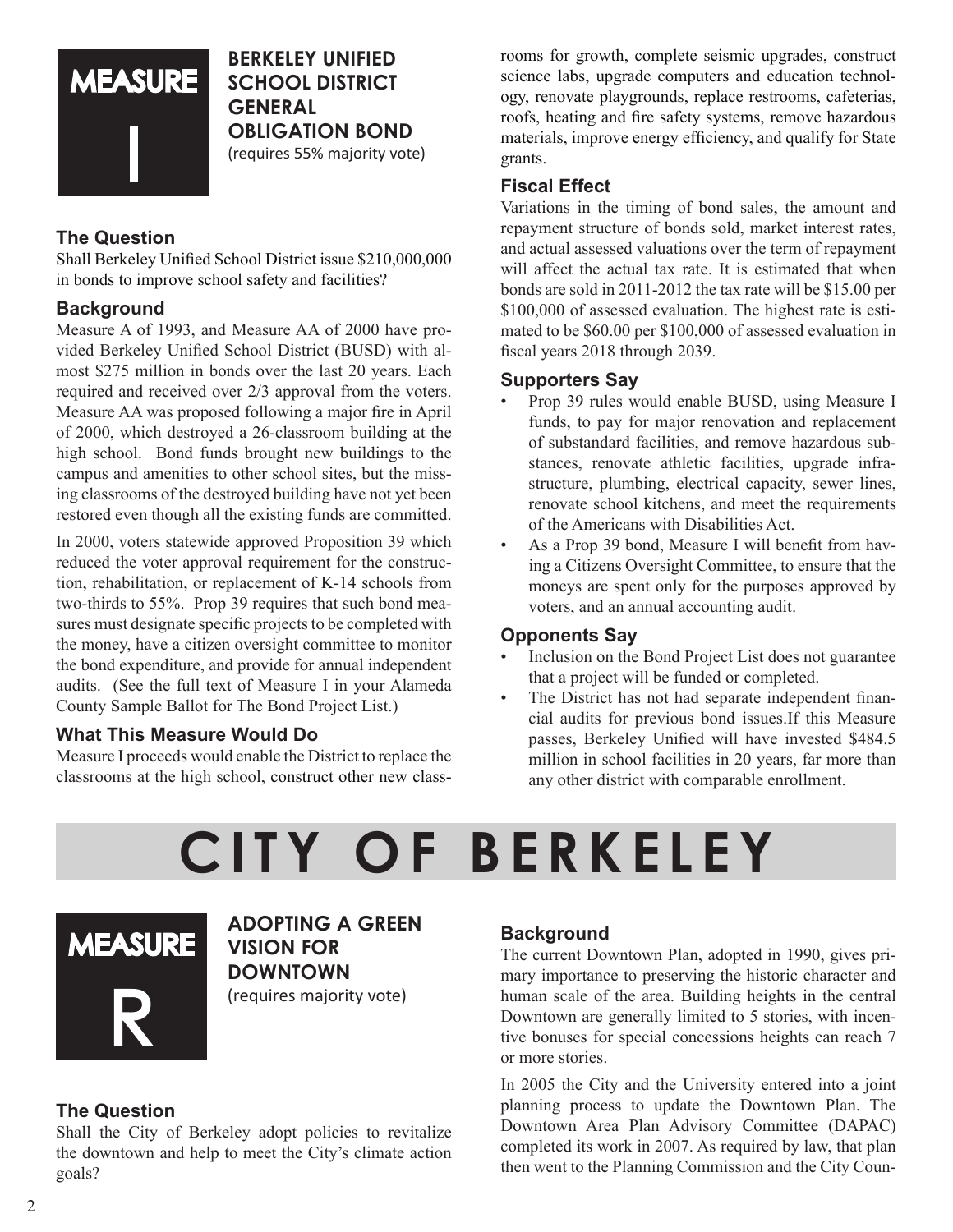

#### **Berkeley Unified School District General Obligation Bond**  (requires 55% majority vote)

#### **The Question**

Shall Berkeley Unified School District issue \$210,000,000 in bonds to improve school safety and facilities?

#### **Background**

Measure A of 1993, and Measure AA of 2000 have provided Berkeley Unified School District (BUSD) with almost \$275 million in bonds over the last 20 years. Each required and received over 2/3 approval from the voters. Measure AA was proposed following a major fire in April of 2000, which destroyed a 26-classroom building at the high school. Bond funds brought new buildings to the campus and amenities to other school sites, but the missing classrooms of the destroyed building have not yet been restored even though all the existing funds are committed.

In 2000, voters statewide approved Proposition 39 which reduced the voter approval requirement for the construction, rehabilitation, or replacement of K-14 schools from two-thirds to 55%. Prop 39 requires that such bond measures must designate specific projects to be completed with the money, have a citizen oversight committee to monitor the bond expenditure, and provide for annual independent audits. (See the full text of Measure I in your Alameda County Sample Ballot for The Bond Project List.)

#### **What This Measure Would Do**

Measure I proceeds would enable the District to replace the classrooms at the high school, construct other new classrooms for growth, complete seismic upgrades, construct science labs, upgrade computers and education technology, renovate playgrounds, replace restrooms, cafeterias, roofs, heating and fire safety systems, remove hazardous materials, improve energy efficiency, and qualify for State grants.

#### **Fiscal Effect**

Variations in the timing of bond sales, the amount and repayment structure of bonds sold, market interest rates, and actual assessed valuations over the term of repayment will affect the actual tax rate. It is estimated that when bonds are sold in 2011-2012 the tax rate will be \$15.00 per \$100,000 of assessed evaluation. The highest rate is estimated to be \$60.00 per \$100,000 of assessed evaluation in fiscal years 2018 through 2039.

#### **Supporters Say**

- Prop 39 rules would enable BUSD, using Measure I funds, to pay for major renovation and replacement of substandard facilities, and remove hazardous substances, renovate athletic facilities, upgrade infrastructure, plumbing, electrical capacity, sewer lines, renovate school kitchens, and meet the requirements of the Americans with Disabilities Act.
- As a Prop 39 bond, Measure I will benefit from having a Citizens Oversight Committee, to ensure that the moneys are spent only for the purposes approved by voters, and an annual accounting audit.

#### **Opponents Say**

- Inclusion on the Bond Project List does not guarantee that a project will be funded or completed.
- The District has not had separate independent financial audits for previous bond issues.If this Measure passes, Berkeley Unified will have invested \$484.5 million in school facilities in 20 years, far more than any other district with comparable enrollment.

### **CI TY O F B E R K E L E Y**



**ADOPTING A GREEN VISION FOR DOWNTOWN** (requires majority vote)

#### **The Question**

Shall the City of Berkeley adopt policies to revitalize the downtown and help to meet the City's climate action goals?

#### **Background**

The current Downtown Plan, adopted in 1990, gives primary importance to preserving the historic character and human scale of the area. Building heights in the central Downtown are generally limited to 5 stories, with incentive bonuses for special concessions heights can reach 7 or more stories.

In 2005 the City and the University entered into a joint planning process to update the Downtown Plan. The Downtown Area Plan Advisory Committee (DAPAC) completed its work in 2007. As required by law, that plan then went to the Planning Commission and the City Coun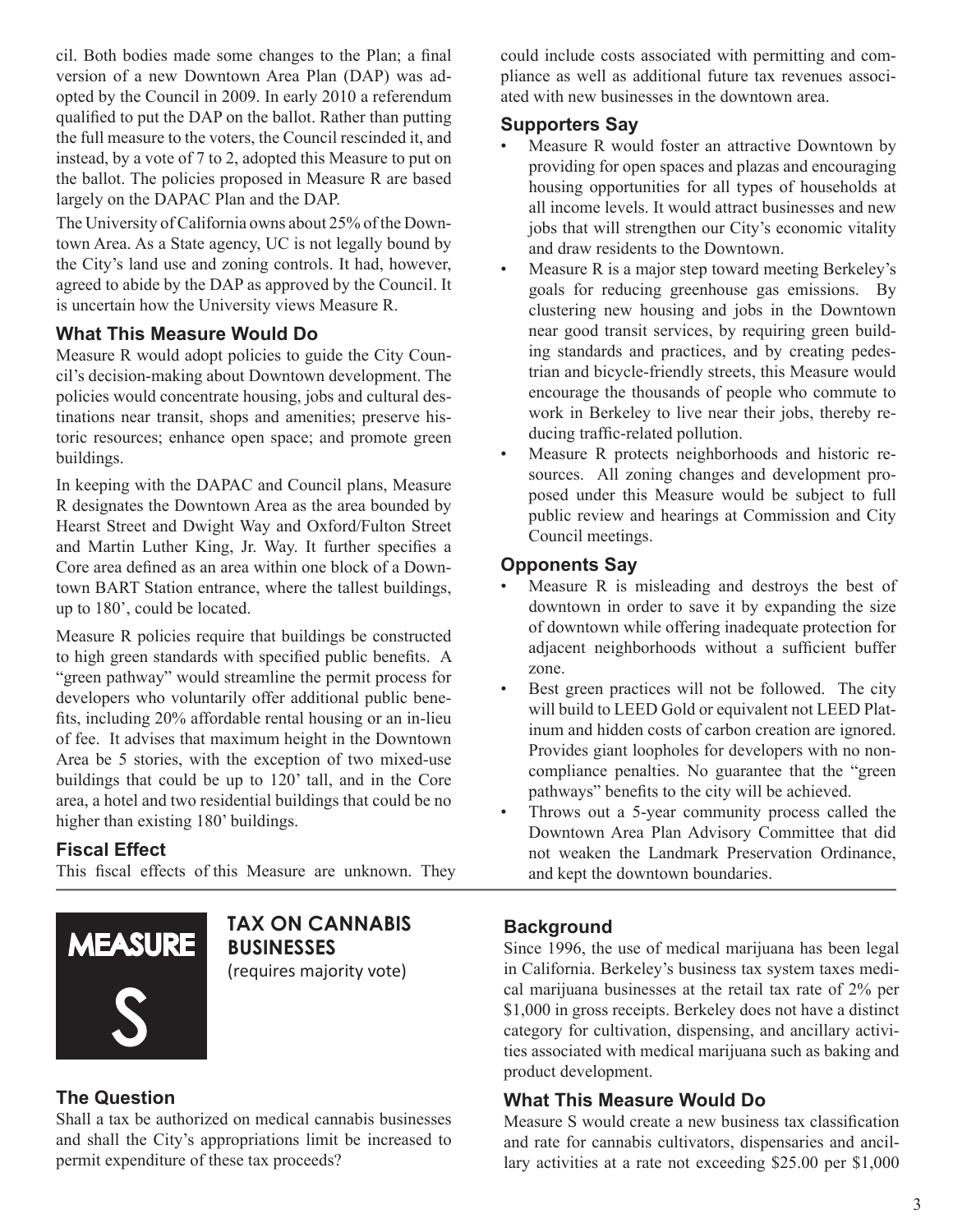cil. Both bodies made some changes to the Plan; a final version of a new Downtown Area Plan (DAP) was adopted by the Council in 2009. In early 2010 a referendum qualified to put the DAP on the ballot. Rather than putting the full measure to the voters, the Council rescinded it, and instead, by a vote of 7 to 2, adopted this Measure to put on the ballot. The policies proposed in Measure R are based largely on the DAPAC Plan and the DAP.

The University of California owns about 25% of the Downtown Area. As a State agency, UC is not legally bound by the City's land use and zoning controls. It had, however, agreed to abide by the DAP as approved by the Council. It is uncertain how the University views Measure R.

#### **What This Measure Would Do**

Measure R would adopt policies to guide the City Council's decision-making about Downtown development. The policies would concentrate housing, jobs and cultural destinations near transit, shops and amenities; preserve historic resources; enhance open space; and promote green buildings.

In keeping with the DAPAC and Council plans, Measure R designates the Downtown Area as the area bounded by Hearst Street and Dwight Way and Oxford/Fulton Street and Martin Luther King, Jr. Way. It further specifies a Core area defined as an area within one block of a Downtown BART Station entrance, where the tallest buildings, up to 180', could be located.

Measure R policies require that buildings be constructed to high green standards with specified public benefits. A "green pathway" would streamline the permit process for developers who voluntarily offer additional public benefits, including 20% affordable rental housing or an in-lieu of fee. It advises that maximum height in the Downtown Area be 5 stories, with the exception of two mixed-use buildings that could be up to 120' tall, and in the Core area, a hotel and two residential buildings that could be no higher than existing 180' buildings.

#### **Fiscal Effect**

This fiscal effects of this  Measure are unknown.  They



**TAX ON CANNABIS BUSINESSes**

(requires majority vote)

#### **The Question**

Shall a tax be authorized on medical cannabis businesses and shall the City's appropriations limit be increased to permit expenditure of these tax proceeds?

could include costs associated with permitting and compliance as well as additional future tax revenues associated with new businesses in the downtown area.

#### **Supporters Say**

- Measure R would foster an attractive Downtown by providing for open spaces and plazas and encouraging housing opportunities for all types of households at all income levels. It would attract businesses and new jobs that will strengthen our City's economic vitality and draw residents to the Downtown.
- Measure R is a major step toward meeting Berkeley's goals for reducing greenhouse gas emissions. By clustering new housing and jobs in the Downtown near good transit services, by requiring green building standards and practices, and by creating pedestrian and bicycle-friendly streets, this Measure would encourage the thousands of people who commute to work in Berkeley to live near their jobs, thereby reducing traffic-related pollution.
- Measure R protects neighborhoods and historic resources. All zoning changes and development proposed under this Measure would be subject to full public review and hearings at Commission and City Council meetings.

#### **Opponents Say**

- Measure  $R$  is misleading and destroys the best of downtown in order to save it by expanding the size of downtown while offering inadequate protection for adjacent neighborhoods without a sufficient buffer zone.
- Best green practices will not be followed. The city will build to LEED Gold or equivalent not LEED Platinum and hidden costs of carbon creation are ignored. Provides giant loopholes for developers with no noncompliance penalties. No guarantee that the "green pathways" benefits to the city will be achieved.
- Throws out a 5-year community process called the Downtown Area Plan Advisory Committee that did not weaken the Landmark Preservation Ordinance, and kept the downtown boundaries.

#### **Background**

Since 1996, the use of medical marijuana has been legal in California. Berkeley's business tax system taxes medical marijuana businesses at the retail tax rate of 2% per \$1,000 in gross receipts. Berkeley does not have a distinct category for cultivation, dispensing, and ancillary activities associated with medical marijuana such as baking and product development.

#### **What This Measure Would Do**

Measure S would create a new business tax classification and rate for cannabis cultivators, dispensaries and ancillary activities at a rate not exceeding \$25.00 per \$1,000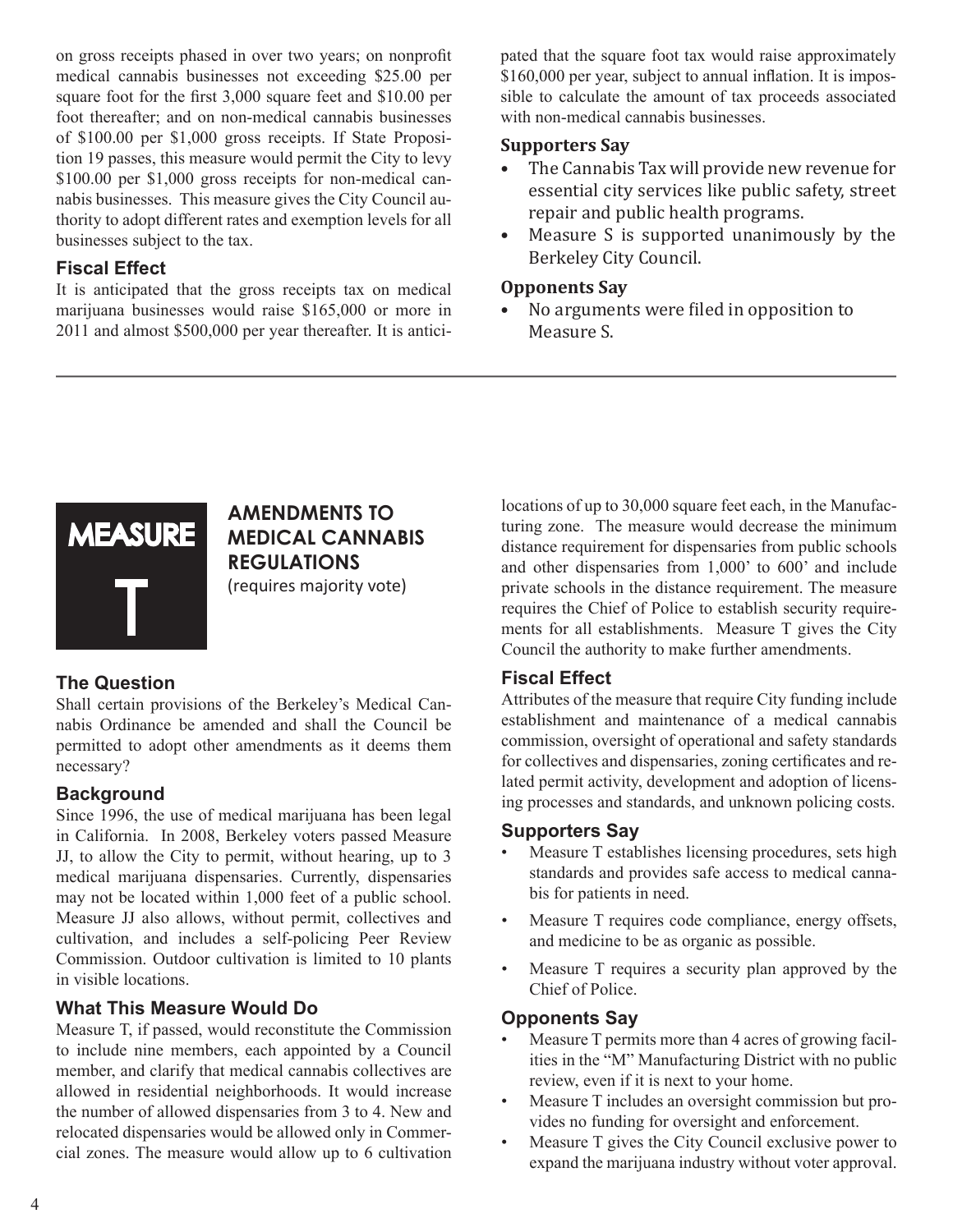on gross receipts phased in over two years; on nonprofit medical cannabis businesses not exceeding \$25.00 per square foot for the first 3,000 square feet and \$10.00 per foot thereafter; and on non-medical cannabis businesses of \$100.00 per \$1,000 gross receipts. If State Proposition 19 passes, this measure would permit the City to levy \$100.00 per \$1,000 gross receipts for non-medical cannabis businesses. This measure gives the City Council authority to adopt different rates and exemption levels for all businesses subject to the tax.

#### **Fiscal Effect**

It is anticipated that the gross receipts tax on medical marijuana businesses would raise \$165,000 or more in 2011 and almost \$500,000 per year thereafter. It is anticipated that the square foot tax would raise approximately \$160,000 per year, subject to annual inflation. It is impossible to calculate the amount of tax proceeds associated with non-medical cannabis businesses.

#### **Supporters Say**

- • The Cannabis Tax will provide new revenue for essential city services like public safety, street repair and public health programs.
- Measure S is supported unanimously by the Berkeley City Council.

#### **Opponents Say**

• No arguments were filed in opposition to Measure S.



#### **AMENDMENTS TO MEDICAL CANNABIS REGULATIONS** (requires majority vote)

#### **The Question**

Shall certain provisions of the Berkeley's Medical Cannabis Ordinance be amended and shall the Council be permitted to adopt other amendments as it deems them necessary?

#### **Background**

Since 1996, the use of medical marijuana has been legal in California. In 2008, Berkeley voters passed Measure JJ, to allow the City to permit, without hearing, up to 3 medical marijuana dispensaries. Currently, dispensaries may not be located within 1,000 feet of a public school. Measure JJ also allows, without permit, collectives and cultivation, and includes a self-policing Peer Review Commission. Outdoor cultivation is limited to 10 plants in visible locations.

#### **What This Measure Would Do**

Measure T, if passed, would reconstitute the Commission to include nine members, each appointed by a Council member, and clarify that medical cannabis collectives are allowed in residential neighborhoods. It would increase the number of allowed dispensaries from 3 to 4. New and relocated dispensaries would be allowed only in Commercial zones. The measure would allow up to 6 cultivation

locations of up to 30,000 square feet each, in the Manufacturing zone. The measure would decrease the minimum distance requirement for dispensaries from public schools and other dispensaries from 1,000' to 600' and include private schools in the distance requirement. The measure requires the Chief of Police to establish security requirements for all establishments. Measure T gives the City Council the authority to make further amendments.

#### **Fiscal Effect**

Attributes of the measure that require City funding include establishment and maintenance of a medical cannabis commission, oversight of operational and safety standards for collectives and dispensaries, zoning certificates and related permit activity, development and adoption of licensing processes and standards, and unknown policing costs.

#### **Supporters Say**

- Measure T establishes licensing procedures, sets high standards and provides safe access to medical cannabis for patients in need.
- Measure T requires code compliance, energy offsets, and medicine to be as organic as possible.
- Measure T requires a security plan approved by the Chief of Police.

#### **Opponents Say**

- Measure T permits more than 4 acres of growing facilities in the "M" Manufacturing District with no public review, even if it is next to your home.
- Measure T includes an oversight commission but provides no funding for oversight and enforcement.
- Measure T gives the City Council exclusive power to expand the marijuana industry without voter approval.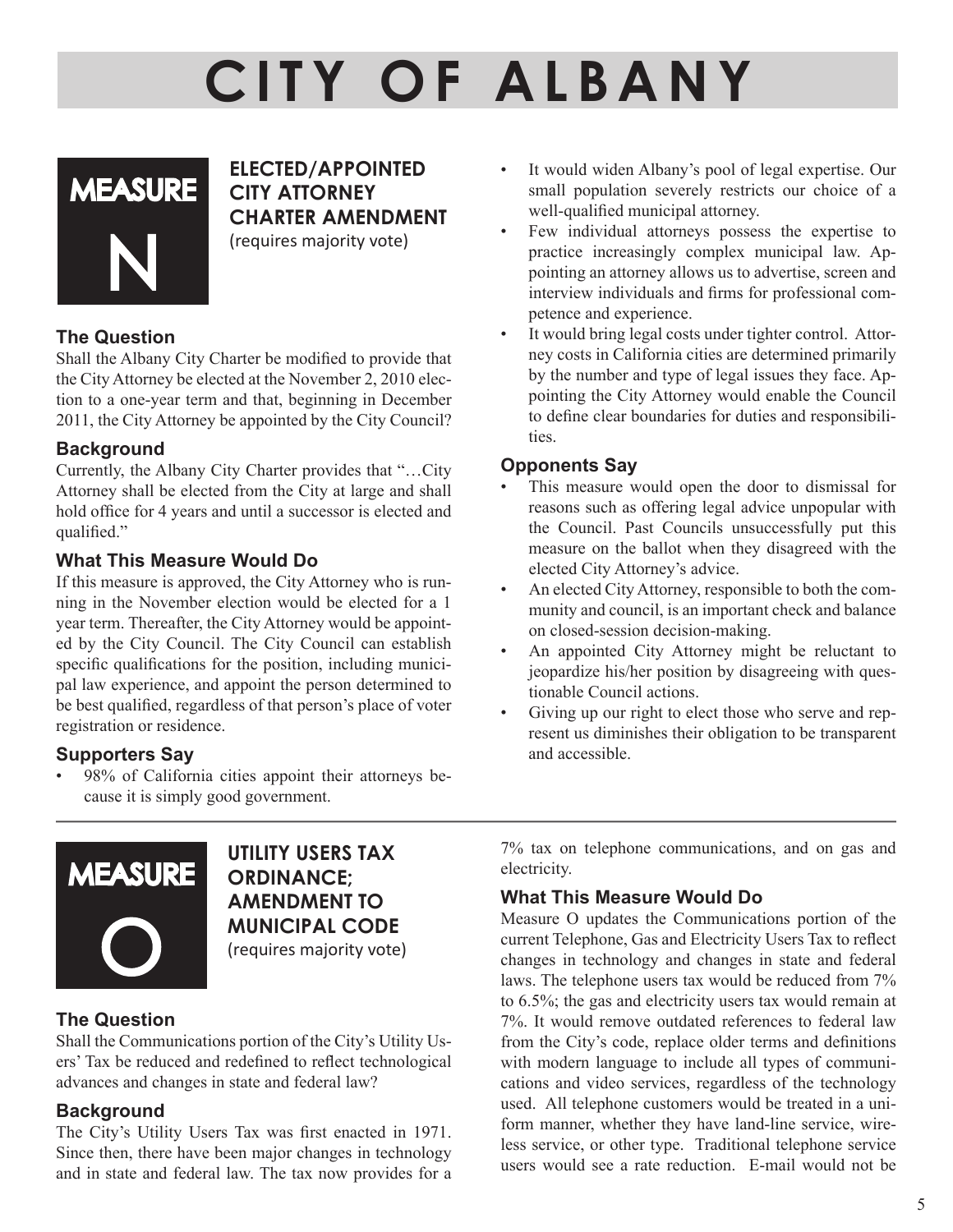# **CI TY O F A L B A N Y**



**ELECTED/APPOINTED CITY ATTORNEY CHARTER AMENDMENT**

(requires majority vote)

#### **The Question**

Shall the Albany City Charter be modified to provide that the City Attorney be elected at the November 2, 2010 election to a one-year term and that, beginning in December 2011, the City Attorney be appointed by the City Council?

#### **Background**

Currently, the Albany City Charter provides that "…City Attorney shall be elected from the City at large and shall hold office for 4 years and until a successor is elected and qualified."

#### **What This Measure Would Do**

If this measure is approved, the City Attorney who is running in the November election would be elected for a 1 year term. Thereafter, the City Attorney would be appointed by the City Council. The City Council can establish specific qualifications for the position, including municipal law experience, and appoint the person determined to be best qualified, regardless of that person's place of voter registration or residence.

#### **Supporters Say**

• 98% of California cities appoint their attorneys because it is simply good government.



**UTILITY USERS TAX Ordinance; Amendment to Municipal Code** (requires majority vote)

#### **The Question**

Shall the Communications portion of the City's Utility Users' Tax be reduced and redefined to reflect technological advances and changes in state and federal law?

#### **Background**

The City's Utility Users Tax was first enacted in 1971. Since then, there have been major changes in technology and in state and federal law. The tax now provides for a

- It would widen Albany's pool of legal expertise. Our small population severely restricts our choice of a well-qualified municipal attorney.
- Few individual attorneys possess the expertise to practice increasingly complex municipal law. Appointing an attorney allows us to advertise, screen and interview individuals and firms for professional competence and experience.
- It would bring legal costs under tighter control. Attorney costs in California cities are determined primarily by the number and type of legal issues they face. Appointing the City Attorney would enable the Council to define clear boundaries for duties and responsibilities.

#### **Opponents Say**

- This measure would open the door to dismissal for reasons such as offering legal advice unpopular with the Council. Past Councils unsuccessfully put this measure on the ballot when they disagreed with the elected City Attorney's advice.
- An elected City Attorney, responsible to both the community and council, is an important check and balance on closed-session decision-making.
- An appointed City Attorney might be reluctant to jeopardize his/her position by disagreeing with questionable Council actions.
- Giving up our right to elect those who serve and represent us diminishes their obligation to be transparent and accessible.

7% tax on telephone communications, and on gas and electricity.

#### **What This Measure Would Do**

Measure O updates the Communications portion of the current Telephone, Gas and Electricity Users Tax to reflect changes in technology and changes in state and federal laws. The telephone users tax would be reduced from 7% to 6.5%; the gas and electricity users tax would remain at 7%. It would remove outdated references to federal law from the City's code, replace older terms and definitions with modern language to include all types of communications and video services, regardless of the technology used. All telephone customers would be treated in a uniform manner, whether they have land-line service, wireless service, or other type. Traditional telephone service users would see a rate reduction. E-mail would not be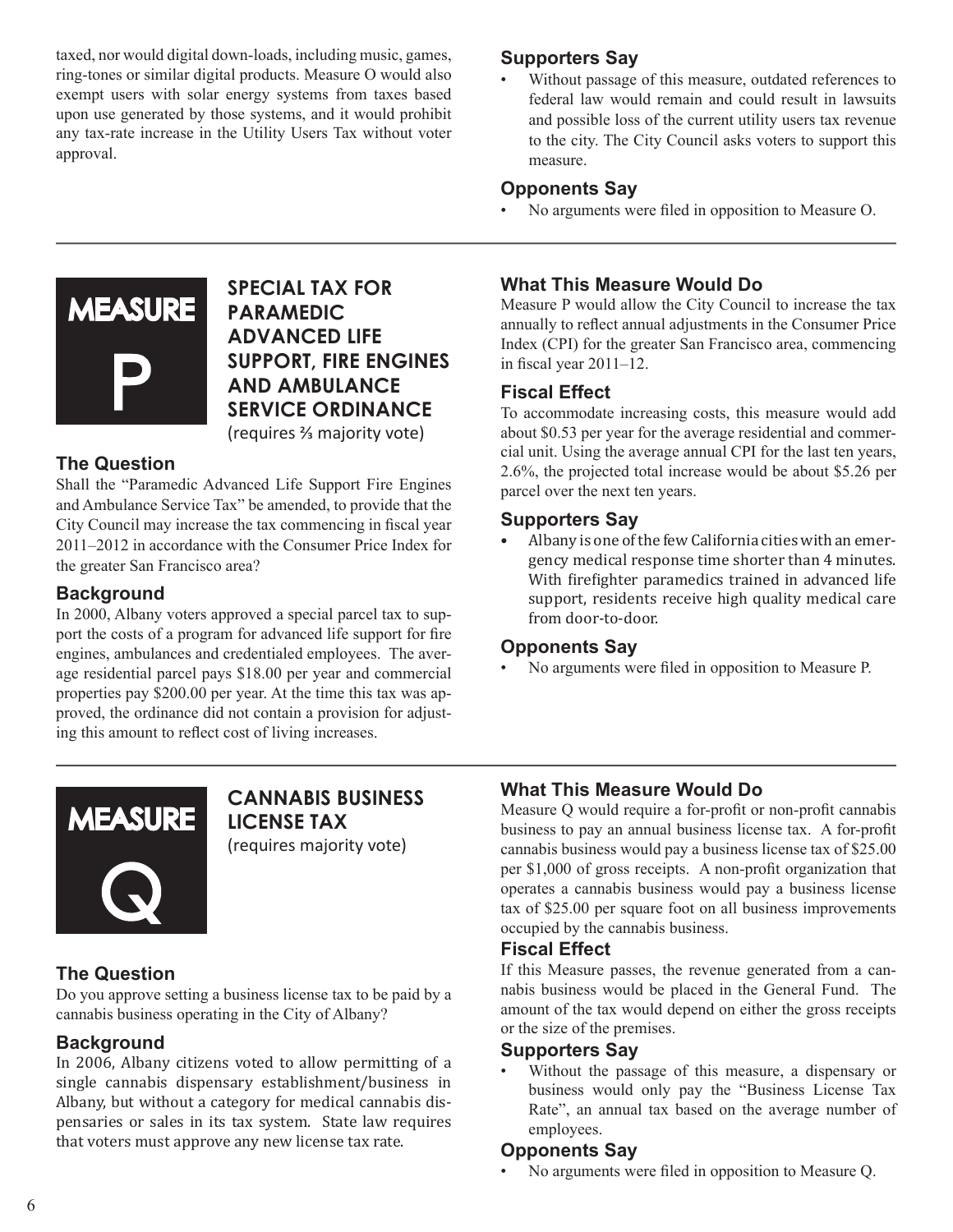taxed, nor would digital down-loads, including music, games, ring-tones or similar digital products. Measure O would also exempt users with solar energy systems from taxes based upon use generated by those systems, and it would prohibit any tax-rate increase in the Utility Users Tax without voter approval.

#### **Supporters Say**

Without passage of this measure, outdated references to federal law would remain and could result in lawsuits and possible loss of the current utility users tax revenue to the city. The City Council asks voters to support this measure.

#### **Opponents Say**

• No arguments were filed in opposition to Measure O.



**SPECIAL TAX FOR PARAMEDIC ADVANCED LIFE SUPPORT, FIRE ENGINES AND AMBULANCE SERVICE ORDINANCE** (requires ⅔ majority vote)

#### **The Question**

Shall the "Paramedic Advanced Life Support Fire Engines and Ambulance Service Tax" be amended, to provide that the City Council may increase the tax commencing in fiscal year 2011–2012 in accordance with the Consumer Price Index for the greater San Francisco area?

#### **Background**

In 2000, Albany voters approved a special parcel tax to support the costs of a program for advanced life support for fire engines, ambulances and credentialed employees. The average residential parcel pays \$18.00 per year and commercial properties pay \$200.00 per year. At the time this tax was approved, the ordinance did not contain a provision for adjusting this amount to reflect cost of living increases.

#### **What This Measure Would Do**

Measure P would allow the City Council to increase the tax annually to reflect annual adjustments in the Consumer Price Index (CPI) for the greater San Francisco area, commencing in fiscal year 2011–12.

#### **Fiscal Effect**

To accommodate increasing costs, this measure would add about \$0.53 per year for the average residential and commercial unit. Using the average annual CPI for the last ten years, 2.6%, the projected total increase would be about \$5.26 per parcel over the next ten years.

#### **Supporters Say**

Albany is one of the few California cities with an emergency medical response time shorter than 4 minutes. With firefighter paramedics trained in advanced life support, residents receive high quality medical care from door-to-door.

#### **Opponents Say**

• No arguments were filed in opposition to Measure P.



**CANNABIS BUSINESS LICENSE TAX** (requires majority vote)

#### **The Question**

Do you approve setting a business license tax to be paid by a cannabis business operating in the City of Albany?

#### **Background**

In 2006, Albany citizens voted to allow permitting of a single cannabis dispensary establishment/business in Albany, but without a category for medical cannabis dispensaries or sales in its tax system. State law requires that voters must approve any new license tax rate.

#### **What This Measure Would Do**

Measure Q would require a for-profit or non-profit cannabis business to pay an annual business license tax. A for-profit cannabis business would pay a business license tax of \$25.00 per \$1,000 of gross receipts. A non-profit organization that operates a cannabis business would pay a business license tax of \$25.00 per square foot on all business improvements occupied by the cannabis business.

#### **Fiscal Effect**

If this Measure passes, the revenue generated from a cannabis business would be placed in the General Fund. The amount of the tax would depend on either the gross receipts or the size of the premises.

#### **Supporters Say**

• Without the passage of this measure, a dispensary or business would only pay the "Business License Tax Rate", an annual tax based on the average number of employees.

#### **Opponents Say**

• No arguments were filed in opposition to Measure Q.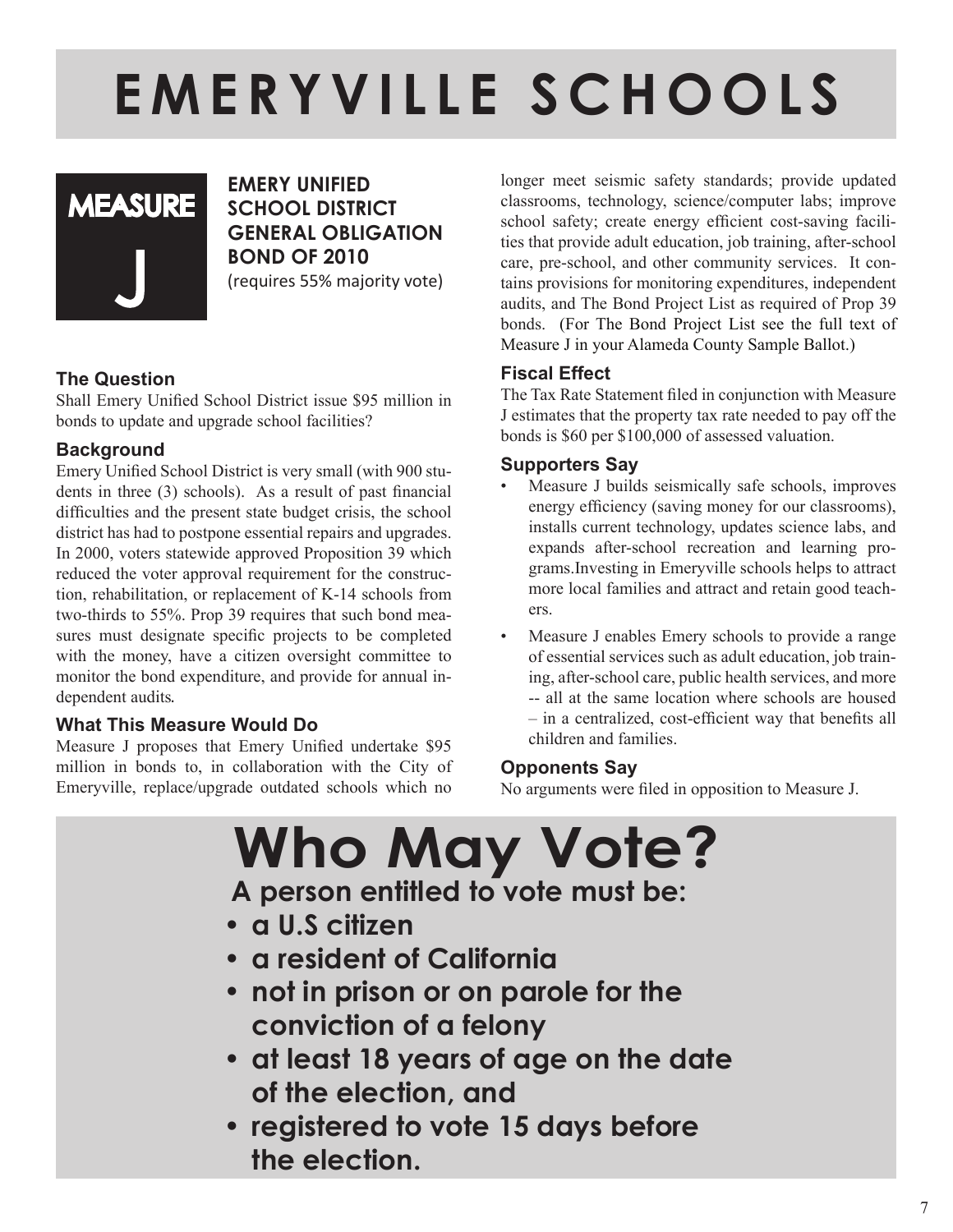## **E M E R Y V I L L E S C H O O L S**



**Emery Unified School District General Obligation Bond of 2010** (requires 55% majority vote)

#### **The Question**

Shall Emery Unified School District issue \$95 million in bonds to update and upgrade school facilities?

#### **Background**

Emery Unified School District is very small (with 900 students in three (3) schools). As a result of past financial difficulties and the present state budget crisis, the school district has had to postpone essential repairs and upgrades. In 2000, voters statewide approved Proposition 39 which reduced the voter approval requirement for the construction, rehabilitation, or replacement of K-14 schools from two-thirds to 55%. Prop 39 requires that such bond measures must designate specific projects to be completed with the money, have a citizen oversight committee to monitor the bond expenditure, and provide for annual independent audits.

#### **What This Measure Would Do**

Measure J proposes that Emery Unified undertake \$95 million in bonds to, in collaboration with the City of Emeryville, replace/upgrade outdated schools which no

longer meet seismic safety standards; provide updated classrooms, technology, science/computer labs; improve school safety; create energy efficient cost-saving facilities that provide adult education, job training, after-school care, pre-school, and other community services.It contains provisions for monitoring expenditures, independent audits, and The Bond Project List as required of Prop 39 bonds. (For The Bond Project List see the full text of Measure J in your Alameda County Sample Ballot.)

#### **Fiscal Effect**

The Tax Rate Statement filed in conjunction with Measure J estimates that the property tax rate needed to pay off the bonds is \$60 per \$100,000 of assessed valuation.

#### **Supporters Say**

- Measure J builds seismically safe schools, improves energy efficiency (saving money for our classrooms), installs current technology, updates science labs, and expands after-school recreation and learning programs.Investing in Emeryville schools helps to attract more local families and attract and retain good teachers.
- Measure J enables Emery schools to provide a range of essential services such as adult education, job training, after-school care, public health services, and more -- all at the same location where schools are housed – in a centralized, cost-efficient way that benefits all children and families.

#### **Opponents Say**

No arguments were filed in opposition to Measure J.

**Who May Vote? A person entitled to vote must be: • a U.S citizen • a resident of California • not in prison or on parole for the conviction of a felony • at least 18 years of age on the date of the election, and • registered to vote 15 days before the election.**